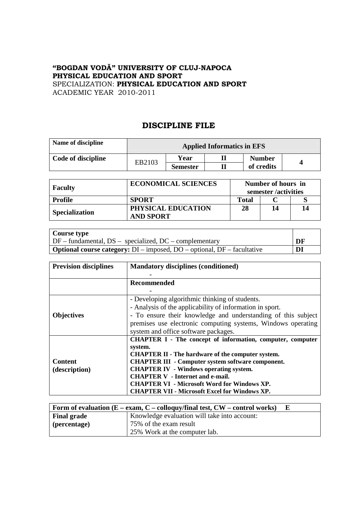## **"BOGDAN VODĂ" UNIVERSITY OF CLUJ-NAPOCA PHYSICAL EDUCATION AND SPORT** SPECIALIZATION: **PHYSICAL EDUCATION AND SPORT** ACADEMIC YEAR 2010-2011

## **DISCIPLINE FILE**

| Name of discipline | <b>Applied Informatics in EFS</b> |                 |  |                             |  |
|--------------------|-----------------------------------|-----------------|--|-----------------------------|--|
| Code of discipline | EB2103                            | Year            |  | <b>Number</b><br>of credits |  |
|                    |                                   | <b>Semester</b> |  |                             |  |

| <b>Faculty</b>        | <b>ECONOMICAL SCIENCES</b>             | Number of hours in<br>semester /activities |    |  |
|-----------------------|----------------------------------------|--------------------------------------------|----|--|
| Profile               | <b>SPORT</b>                           | <b>Total</b>                               |    |  |
| <b>Specialization</b> | PHYSICAL EDUCATION<br><b>AND SPORT</b> | 28                                         | 14 |  |

| <b>Course type</b>                                                                   |    |
|--------------------------------------------------------------------------------------|----|
| $DF$ – fundamental, $DS$ – specialized, $DC$ – complementary                         | DF |
| <b>Optional course category:</b> $DI$ – imposed, $DO$ – optional, $DF$ – facultative | DI |

| <b>Prevision disciplines</b>    | <b>Mandatory disciplines (conditioned)</b>                                                                                                                                                                                                                                                                                                                                                                     |  |  |  |
|---------------------------------|----------------------------------------------------------------------------------------------------------------------------------------------------------------------------------------------------------------------------------------------------------------------------------------------------------------------------------------------------------------------------------------------------------------|--|--|--|
|                                 | Recommended                                                                                                                                                                                                                                                                                                                                                                                                    |  |  |  |
| <b>Objectives</b>               | - Developing algorithmic thinking of students.<br>- Analysis of the applicability of information in sport.<br>- To ensure their knowledge and understanding of this subject<br>premises use electronic computing systems, Windows operating<br>system and office software packages.                                                                                                                            |  |  |  |
| <b>Content</b><br>(description) | <b>CHAPTER I</b> - The concept of information, computer, computer<br>system.<br><b>CHAPTER II - The hardware of the computer system.</b><br><b>CHAPTER III - Computer system software component.</b><br><b>CHAPTER IV - Windows operating system.</b><br><b>CHAPTER V</b> - Internet and e-mail.<br><b>CHAPTER VI</b> - Microsoft Word for Windows XP.<br><b>CHAPTER VII - Microsoft Excel for Windows XP.</b> |  |  |  |

| Form of evaluation ( $E - e$ xam, $C -$ colloquy/final test, $CW -$ control works) |                                              |  |  |
|------------------------------------------------------------------------------------|----------------------------------------------|--|--|
| <b>Final grade</b>                                                                 | Knowledge evaluation will take into account: |  |  |
| (percentage)                                                                       | 75% of the exam result                       |  |  |
|                                                                                    | 25% Work at the computer lab.                |  |  |